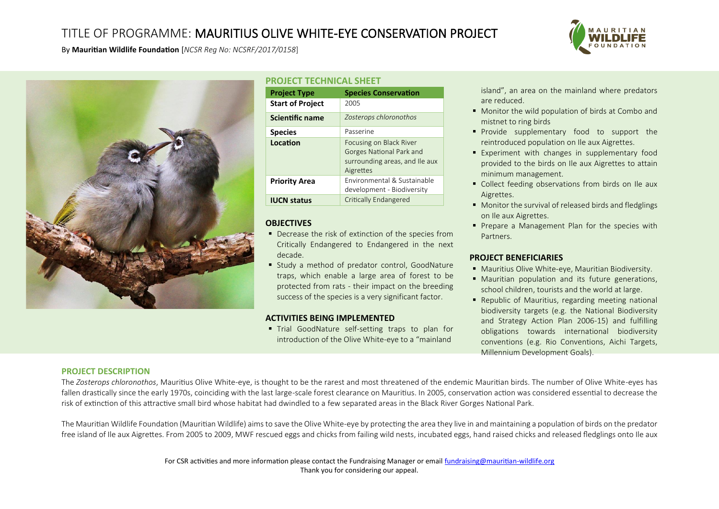# TITLE OF PROGRAMME: MAURITIUS OLIVE WHITE-EYE CONSERVATION PROJECT



By **Mauritian Wildlife Foundation** [*NCSR Reg No: NCSRF/2017/0158*]



### **PROJECT TECHNICAL SHEET**

| <b>Project Type</b>     | <b>Species Conservation</b>                                                                        |
|-------------------------|----------------------------------------------------------------------------------------------------|
| <b>Start of Project</b> | 2005                                                                                               |
| <b>Scientific name</b>  | Zosterops chloronothos                                                                             |
| <b>Species</b>          | Passerine                                                                                          |
| Location                | Focusing on Black River<br>Gorges National Park and<br>surrounding areas, and Ile aux<br>Aigrettes |
| <b>Priority Area</b>    | Environmental & Sustainable<br>development - Biodiversity                                          |
| <b>IUCN status</b>      | Critically Endangered                                                                              |

# **OBJECTIVES**

- Decrease the risk of extinction of the species from Critically Endangered to Endangered in the next decade.
- Study a method of predator control, GoodNature traps, which enable a large area of forest to be protected from rats - their impact on the breeding success of the species is a very significant factor.

# **ACTIVITIES BEING IMPLEMENTED**

**Trial GoodNature self-setting traps to plan for** introduction of the Olive White-eye to a "mainland

island", an area on the mainland where predators are reduced.

- Monitor the wild population of birds at Combo and mistnet to ring birds
- **•** Provide supplementary food to support the reintroduced population on Ile aux Aigrettes.
- Experiment with changes in supplementary food provided to the birds on Ile aux Aigrettes to attain minimum management.
- Collect feeding observations from birds on Ile aux Aigrettes.
- Monitor the survival of released birds and fledglings on Ile aux Aigrettes.
- **•** Prepare a Management Plan for the species with Partners.

### **PROJECT BENEFICIARIES**

- Mauritius Olive White-eye, Mauritian Biodiversity.
- Mauritian population and its future generations, school children, tourists and the world at large.
- Republic of Mauritius, regarding meeting national biodiversity targets (e.g. the National Biodiversity and Strategy Action Plan 2006-15) and fulfilling obligations towards international biodiversity conventions (e.g. Rio Conventions, Aichi Targets, Millennium Development Goals).

# **PROJECT DESCRIPTION**

The *Zosterops chloronothos*, Mauritius Olive White-eye, is thought to be the rarest and most threatened of the endemic Mauritian birds. The number of Olive White-eyes has fallen drastically since the early 1970s, coinciding with the last large-scale forest clearance on Mauritius. In 2005, conservation action was considered essential to decrease the risk of extinction of this attractive small bird whose habitat had dwindled to a few separated areas in the Black River Gorges National Park.

The Mauritian Wildlife Foundation (Mauritian Wildlife) aims to save the Olive White-eye by protecting the area they live in and maintaining a population of birds on the predator free island of Ile aux Aigrettes. From 2005 to 2009, MWF rescued eggs and chicks from failing wild nests, incubated eggs, hand raised chicks and released fledglings onto Ile aux

> For CSR activities and more information please contact the Fundraising Manager or emai[l fundraising@mauritian-wildlife.org](mailto:fundraising@mauritian-wildlife.org) Thank you for considering our appeal.